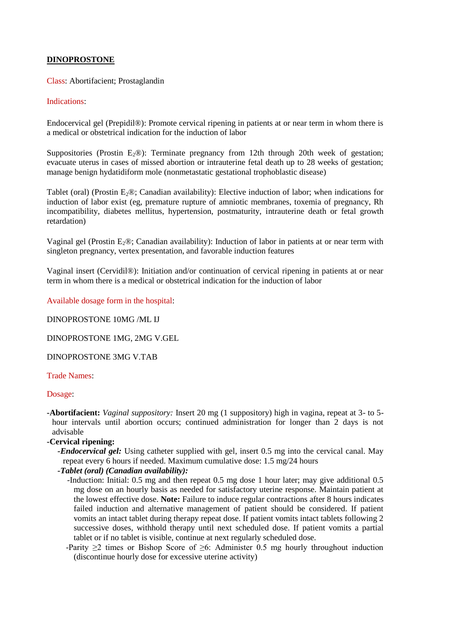# **DINOPROSTONE**

Class: Abortifacient; Prostaglandin

## Indications:

Endocervical gel (Prepidil®): Promote cervical ripening in patients at or near term in whom there is a medical or obstetrical indication for the induction of labor

Suppositories (Prostin E<sub>2</sub>®): Terminate pregnancy from 12th through 20th week of gestation; evacuate uterus in cases of missed abortion or intrauterine fetal death up to 28 weeks of gestation; manage benign hydatidiform mole (nonmetastatic gestational trophoblastic disease)

Tablet (oral) (Prostin E<sub>2</sub>®; Canadian availability): Elective induction of labor; when indications for induction of labor exist (eg, premature rupture of amniotic membranes, toxemia of pregnancy, Rh incompatibility, diabetes mellitus, hypertension, postmaturity, intrauterine death or fetal growth retardation)

Vaginal gel (Prostin  $E_2 \otimes$ ; Canadian availability): Induction of labor in patients at or near term with singleton pregnancy, vertex presentation, and favorable induction features

Vaginal insert (Cervidil®): Initiation and/or continuation of cervical ripening in patients at or near term in whom there is a medical or obstetrical indication for the induction of labor

Available dosage form in the hospital:

DINOPROSTONE 10MG /ML IJ

DINOPROSTONE 1MG, 2MG V.GEL

DINOPROSTONE 3MG V.TAB

Trade Names:

Dosage:

**-Abortifacient:** *Vaginal suppository:* Insert 20 mg (1 suppository) high in vagina, repeat at 3- to 5 hour intervals until abortion occurs; continued administration for longer than 2 days is not advisable

### **-Cervical ripening:**

*-Endocervical gel:* Using catheter supplied with gel, insert 0.5 mg into the cervical canal. May repeat every 6 hours if needed. Maximum cumulative dose: 1.5 mg/24 hours

# *-Tablet (oral) (Canadian availability):*

- -Induction: Initial: 0.5 mg and then repeat 0.5 mg dose 1 hour later; may give additional 0.5 mg dose on an hourly basis as needed for satisfactory uterine response. Maintain patient at the lowest effective dose. **Note:** Failure to induce regular contractions after 8 hours indicates failed induction and alternative management of patient should be considered. If patient vomits an intact tablet during therapy repeat dose. If patient vomits intact tablets following 2 successive doses, withhold therapy until next scheduled dose. If patient vomits a partial tablet or if no tablet is visible, continue at next regularly scheduled dose.
- -Parity  $\geq 2$  times or Bishop Score of  $\geq 6$ : Administer 0.5 mg hourly throughout induction (discontinue hourly dose for excessive uterine activity)